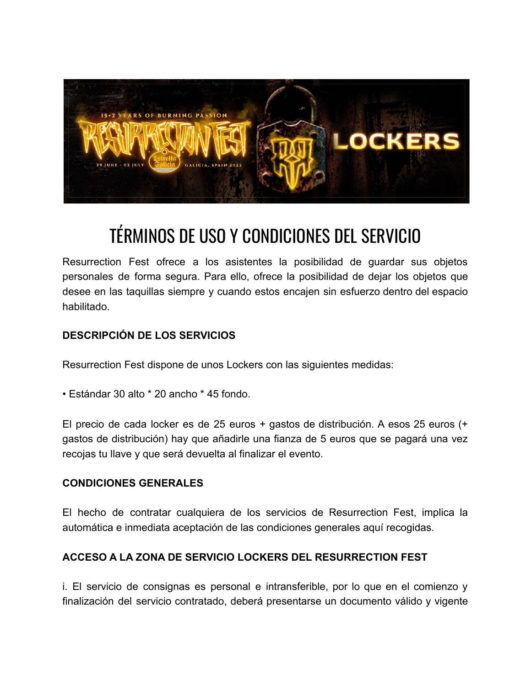

# TÉRMINOS DE USO Y CONDICIONES DEL SERVICIO

Resurrection Fest ofrece a los asistentes la posibilidad de guardar sus objetos personales de forma segura. Para ello, ofrece la posibilidad de dejar los objetos que desee en las taquillas siempre y cuando estos encajen sin esfuerzo dentro del espacio habilitado.

## **DESCRIPCIÓN DE LOS SERVICIOS**

Resurrection Fest dispone de unos Lockers con las siguientes medidas:

• Estándar 30 alto \* 20 ancho \* 45 fondo.

El precio de cada locker es de 25 euros + gastos de distribución. A esos 25 euros (+ gastos de distribución) hay que añadirle una fianza de 5 euros que se pagará una vez recojas tu llave y que será devuelta al finalizar el evento.

### **CONDICIONES GENERALES**

El hecho de contratar cualquiera de los servicios de Resurrection Fest, implica la automática e inmediata aceptación de las condiciones generales aquí recogidas.

### **ACCESO A LA ZONA DE SERVICIO LOCKERS DEL RESURRECTION FEST**

i. El servicio de consignas es personal e intransferible, por lo que en el comienzo y finalización del servicio contratado, deberá presentarse un documento válido y vigente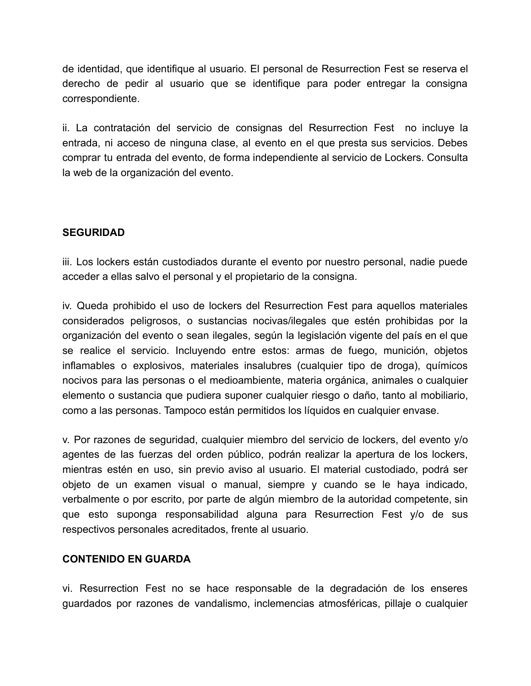de identidad, que identifique al usuario. El personal de Resurrection Fest se reserva el derecho de pedir al usuario que se identifique para poder entregar la consigna correspondiente.

ii. La contratación del servicio de consignas del Resurrection Fest no incluye la entrada, ni acceso de ninguna clase, al evento en el que presta sus servicios. Debes comprar tu entrada del evento, de forma independiente al servicio de Lockers. Consulta la web de la organización del evento.

### **SEGURIDAD**

iii. Los lockers están custodiados durante el evento por nuestro personal, nadie puede acceder a ellas salvo el personal y el propietario de la consigna.

iv. Queda prohibido el uso de lockers del Resurrection Fest para aquellos materiales considerados peligrosos, o sustancias nocivas/ilegales que estén prohibidas por la organización del evento o sean ilegales, según la legislación vigente del país en el que se realice el servicio. Incluyendo entre estos: armas de fuego, munición, objetos inflamables o explosivos, materiales insalubres (cualquier tipo de droga), químicos nocivos para las personas o el medioambiente, materia orgánica, animales o cualquier elemento o sustancia que pudiera suponer cualquier riesgo o daño, tanto al mobiliario, como a las personas. Tampoco están permitidos los líquidos en cualquier envase.

v. Por razones de seguridad, cualquier miembro del servicio de lockers, del evento y/o agentes de las fuerzas del orden público, podrán realizar la apertura de los lockers, mientras estén en uso, sin previo aviso al usuario. El material custodiado, podrá ser objeto de un examen visual o manual, siempre y cuando se le haya indicado, verbalmente o por escrito, por parte de algún miembro de la autoridad competente, sin que esto suponga responsabilidad alguna para Resurrection Fest y/o de sus respectivos personales acreditados, frente al usuario.

### **CONTENIDO EN GUARDA**

vi. Resurrection Fest no se hace responsable de la degradación de los enseres guardados por razones de vandalismo, inclemencias atmosféricas, pillaje o cualquier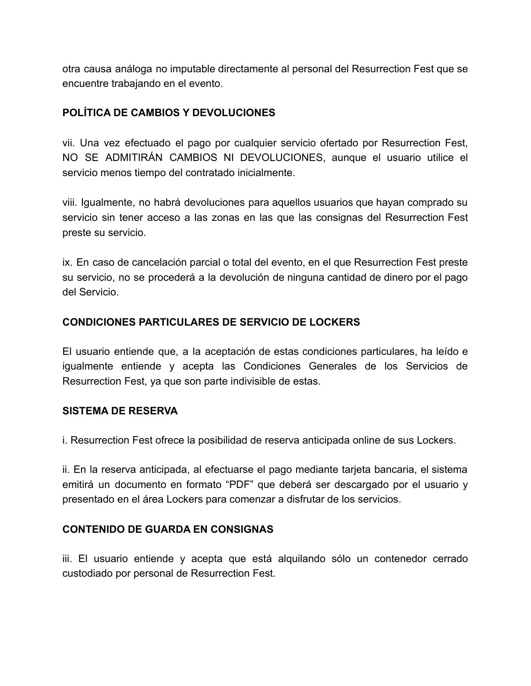otra causa análoga no imputable directamente al personal del Resurrection Fest que se encuentre trabajando en el evento.

### **POLÍTICA DE CAMBIOS Y DEVOLUCIONES**

vii. Una vez efectuado el pago por cualquier servicio ofertado por Resurrection Fest, NO SE ADMITIRÁN CAMBIOS NI DEVOLUCIONES, aunque el usuario utilice el servicio menos tiempo del contratado inicialmente.

viii. Igualmente, no habrá devoluciones para aquellos usuarios que hayan comprado su servicio sin tener acceso a las zonas en las que las consignas del Resurrection Fest preste su servicio.

ix. En caso de cancelación parcial o total del evento, en el que Resurrection Fest preste su servicio, no se procederá a la devolución de ninguna cantidad de dinero por el pago del Servicio.

### **CONDICIONES PARTICULARES DE SERVICIO DE LOCKERS**

El usuario entiende que, a la aceptación de estas condiciones particulares, ha leído e igualmente entiende y acepta las Condiciones Generales de los Servicios de Resurrection Fest, ya que son parte indivisible de estas.

### **SISTEMA DE RESERVA**

i. Resurrection Fest ofrece la posibilidad de reserva anticipada online de sus Lockers.

ii. En la reserva anticipada, al efectuarse el pago mediante tarjeta bancaria, el sistema emitirá un documento en formato "PDF" que deberá ser descargado por el usuario y presentado en el área Lockers para comenzar a disfrutar de los servicios.

### **CONTENIDO DE GUARDA EN CONSIGNAS**

iii. El usuario entiende y acepta que está alquilando sólo un contenedor cerrado custodiado por personal de Resurrection Fest.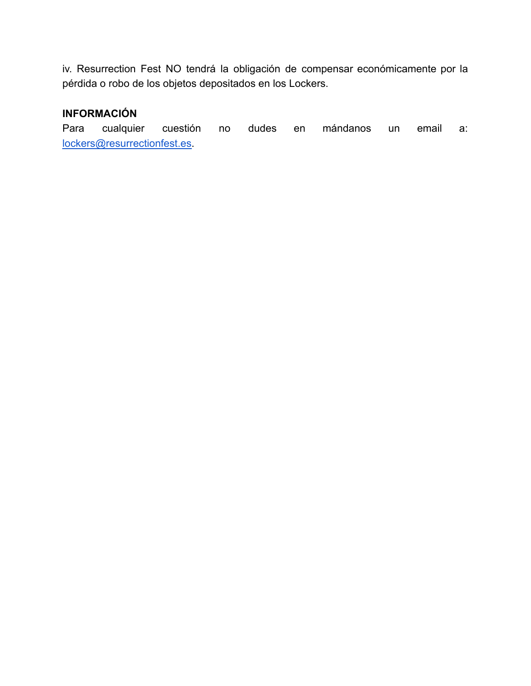iv. Resurrection Fest NO tendrá la obligación de compensar económicamente por la pérdida o robo de los objetos depositados en los Lockers.

## **INFORMACIÓN**

Para cualquier cuestión no dudes en mándanos un email a: [lockers@resurrectionfest.es.](mailto:lockers@resurrectionfest.es)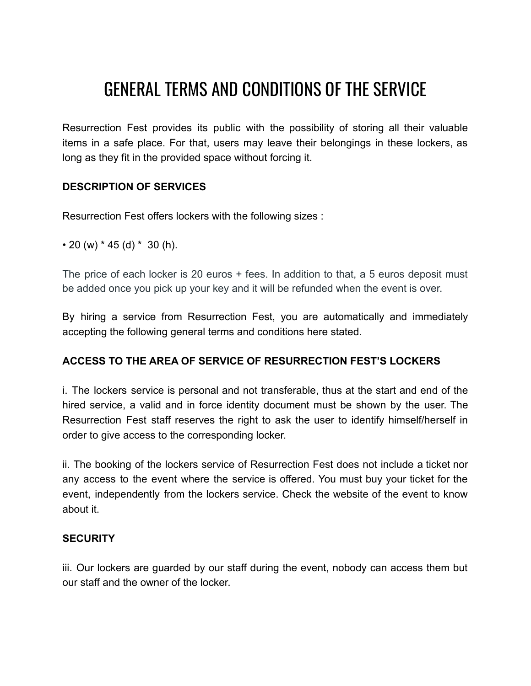## GENERAL TERMS AND CONDITIONS OF THE SERVICE

Resurrection Fest provides its public with the possibility of storing all their valuable items in a safe place. For that, users may leave their belongings in these lockers, as long as they fit in the provided space without forcing it.

### **DESCRIPTION OF SERVICES**

Resurrection Fest offers lockers with the following sizes :

 $\cdot$  20 (w)  $*$  45 (d)  $*$  30 (h).

The price of each locker is 20 euros + fees. In addition to that, a 5 euros deposit must be added once you pick up your key and it will be refunded when the event is over.

By hiring a service from Resurrection Fest, you are automatically and immediately accepting the following general terms and conditions here stated.

### **ACCESS TO THE AREA OF SERVICE OF RESURRECTION FEST'S LOCKERS**

i. The lockers service is personal and not transferable, thus at the start and end of the hired service, a valid and in force identity document must be shown by the user. The Resurrection Fest staff reserves the right to ask the user to identify himself/herself in order to give access to the corresponding locker.

ii. The booking of the lockers service of Resurrection Fest does not include a ticket nor any access to the event where the service is offered. You must buy your ticket for the event, independently from the lockers service. Check the website of the event to know about it.

### **SECURITY**

iii. Our lockers are guarded by our staff during the event, nobody can access them but our staff and the owner of the locker.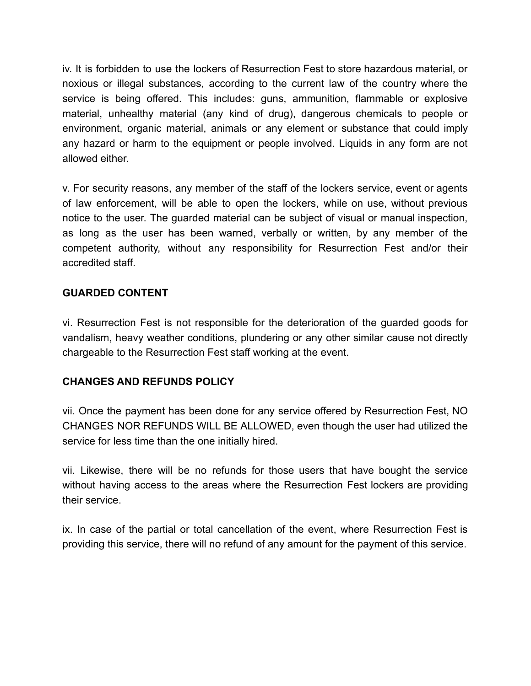iv. It is forbidden to use the lockers of Resurrection Fest to store hazardous material, or noxious or illegal substances, according to the current law of the country where the service is being offered. This includes: guns, ammunition, flammable or explosive material, unhealthy material (any kind of drug), dangerous chemicals to people or environment, organic material, animals or any element or substance that could imply any hazard or harm to the equipment or people involved. Liquids in any form are not allowed either.

v. For security reasons, any member of the staff of the lockers service, event or agents of law enforcement, will be able to open the lockers, while on use, without previous notice to the user. The guarded material can be subject of visual or manual inspection, as long as the user has been warned, verbally or written, by any member of the competent authority, without any responsibility for Resurrection Fest and/or their accredited staff.

### **GUARDED CONTENT**

vi. Resurrection Fest is not responsible for the deterioration of the guarded goods for vandalism, heavy weather conditions, plundering or any other similar cause not directly chargeable to the Resurrection Fest staff working at the event.

### **CHANGES AND REFUNDS POLICY**

vii. Once the payment has been done for any service offered by Resurrection Fest, NO CHANGES NOR REFUNDS WILL BE ALLOWED, even though the user had utilized the service for less time than the one initially hired.

vii. Likewise, there will be no refunds for those users that have bought the service without having access to the areas where the Resurrection Fest lockers are providing their service.

ix. In case of the partial or total cancellation of the event, where Resurrection Fest is providing this service, there will no refund of any amount for the payment of this service.